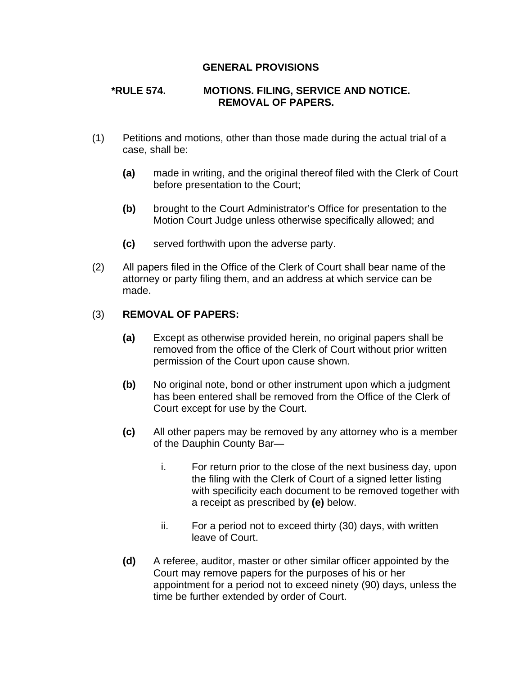## **GENERAL PROVISIONS**

## **\*RULE 574. MOTIONS. FILING, SERVICE AND NOTICE. REMOVAL OF PAPERS.**

- (1) Petitions and motions, other than those made during the actual trial of a case, shall be:
	- **(a)** made in writing, and the original thereof filed with the Clerk of Court before presentation to the Court;
	- **(b)** brought to the Court Administrator's Office for presentation to the Motion Court Judge unless otherwise specifically allowed; and
	- **(c)** served forthwith upon the adverse party.
- (2) All papers filed in the Office of the Clerk of Court shall bear name of the attorney or party filing them, and an address at which service can be made.

## (3) **REMOVAL OF PAPERS:**

- **(a)** Except as otherwise provided herein, no original papers shall be removed from the office of the Clerk of Court without prior written permission of the Court upon cause shown.
- **(b)** No original note, bond or other instrument upon which a judgment has been entered shall be removed from the Office of the Clerk of Court except for use by the Court.
- **(c)** All other papers may be removed by any attorney who is a member of the Dauphin County Bar
	- i. For return prior to the close of the next business day, upon the filing with the Clerk of Court of a signed letter listing with specificity each document to be removed together with a receipt as prescribed by **(e)** below.
	- ii. For a period not to exceed thirty (30) days, with written leave of Court.
- **(d)** A referee, auditor, master or other similar officer appointed by the Court may remove papers for the purposes of his or her appointment for a period not to exceed ninety (90) days, unless the time be further extended by order of Court.